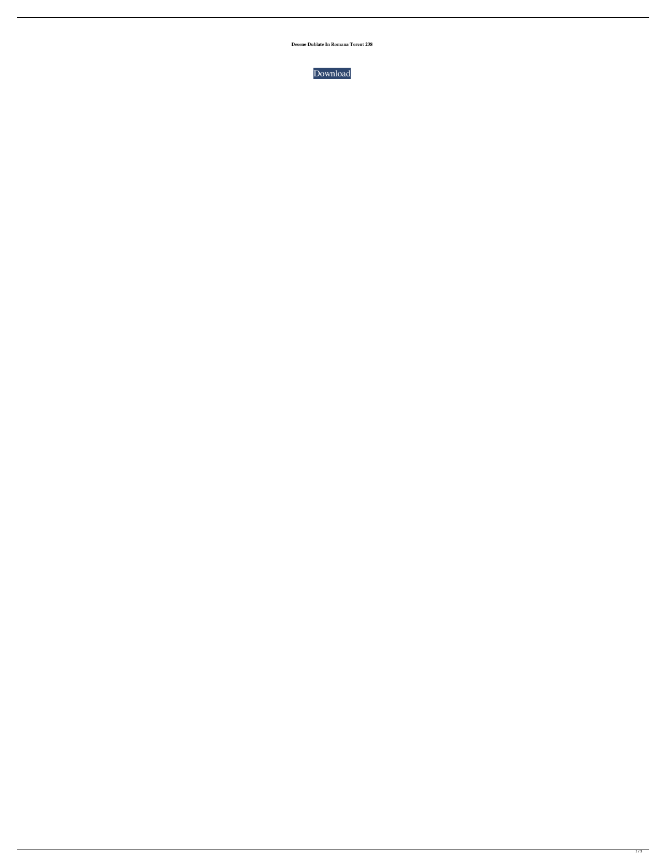**Desene Dublate In Romana Torent 238**

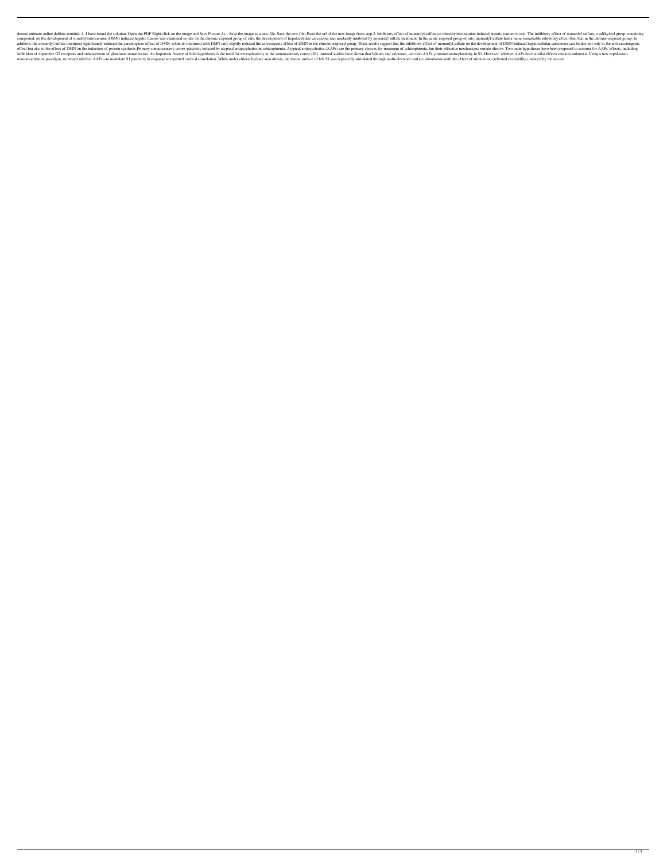desene animate online dublate română. A: I have found the solution. Open the PDF Right click on the image and Save Picture As... Save the image as a new file. Save the new file. Save the new image from step 2. Inhibitory e compound, on the development of dimethylnitrosamine (DMN) induced hepatic tumors was examined in rats. In the chronic-exposed group of rats, the development of hepatocellular carcinoma was markedly inhibited by monardyl su addition, the monardyl sulfate treatment significantly reduced the carcinogenic effect of DMN, while its treatment with DMN only slightly reduced the carcinogenic effect of DMN in the chronic-exposed group. These results s effect but also to the effect of DMN on the induction of protein synthesis.Primary somatosensory cortex plasticity induced by atypical antipsychotics in schizophrenia. Atypical antipsychotics (AAPs) are the primary choices inhibition of dopamine D2 receptors and enhancement of glutamate transmission. An important feature of both hypotheses is the need for neuroplasticity in the somatosensory cortex (S1). Animal studies have shown that lithiu neuromodulation paradigm, we tested whether AAPs can modulate S1 plasticity in response to repeated cortical stimulation. While under chloral hydrate anaesthesia, the lateral surface of left S1 was repeatedly stimulated th